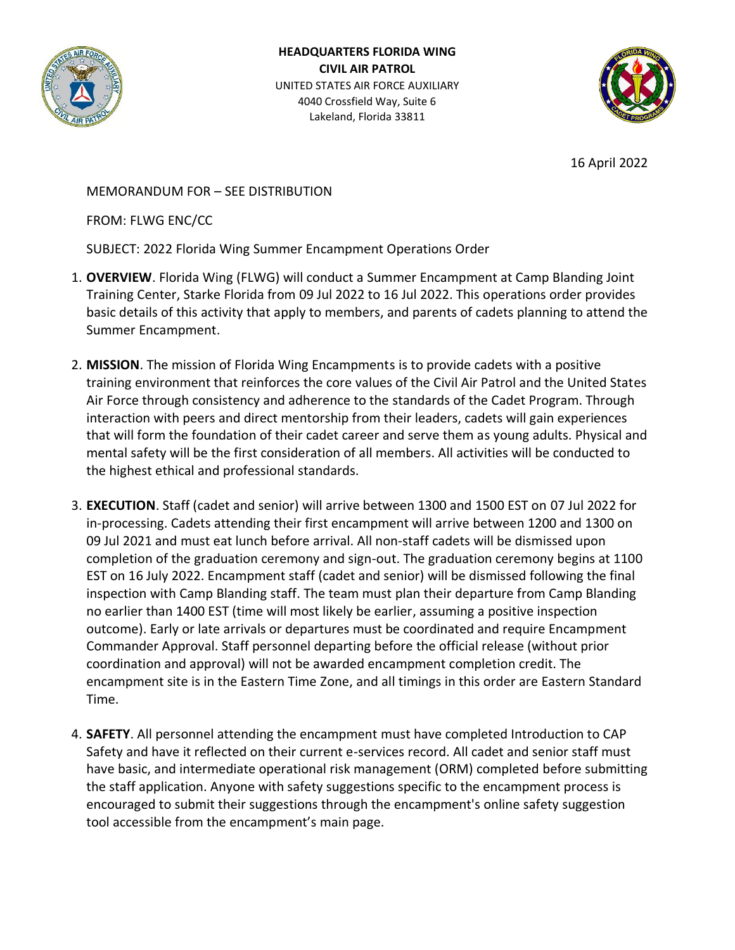

**HEADQUARTERS FLORIDA WING CIVIL AIR PATROL** UNITED STATES AIR FORCE AUXILIARY 4040 Crossfield Way, Suite 6 Lakeland, Florida 33811



16 April 2022

MEMORANDUM FOR – SEE DISTRIBUTION

FROM: FLWG ENC/CC

SUBJECT: 2022 Florida Wing Summer Encampment Operations Order

- 1. **OVERVIEW**. Florida Wing (FLWG) will conduct a Summer Encampment at Camp Blanding Joint Training Center, Starke Florida from 09 Jul 2022 to 16 Jul 2022. This operations order provides basic details of this activity that apply to members, and parents of cadets planning to attend the Summer Encampment.
- 2. **MISSION**. The mission of Florida Wing Encampments is to provide cadets with a positive training environment that reinforces the core values of the Civil Air Patrol and the United States Air Force through consistency and adherence to the standards of the Cadet Program. Through interaction with peers and direct mentorship from their leaders, cadets will gain experiences that will form the foundation of their cadet career and serve them as young adults. Physical and mental safety will be the first consideration of all members. All activities will be conducted to the highest ethical and professional standards.
- 3. **EXECUTION**. Staff (cadet and senior) will arrive between 1300 and 1500 EST on 07 Jul 2022 for in-processing. Cadets attending their first encampment will arrive between 1200 and 1300 on 09 Jul 2021 and must eat lunch before arrival. All non-staff cadets will be dismissed upon completion of the graduation ceremony and sign-out. The graduation ceremony begins at 1100 EST on 16 July 2022. Encampment staff (cadet and senior) will be dismissed following the final inspection with Camp Blanding staff. The team must plan their departure from Camp Blanding no earlier than 1400 EST (time will most likely be earlier, assuming a positive inspection outcome). Early or late arrivals or departures must be coordinated and require Encampment Commander Approval. Staff personnel departing before the official release (without prior coordination and approval) will not be awarded encampment completion credit. The encampment site is in the Eastern Time Zone, and all timings in this order are Eastern Standard Time.
- 4. **SAFETY**. All personnel attending the encampment must have completed Introduction to CAP Safety and have it reflected on their current e-services record. All cadet and senior staff must have basic, and intermediate operational risk management (ORM) completed before submitting the staff application. Anyone with safety suggestions specific to the encampment process is encouraged to submit their suggestions through the encampment's online safety suggestion tool accessible from the encampment's main page.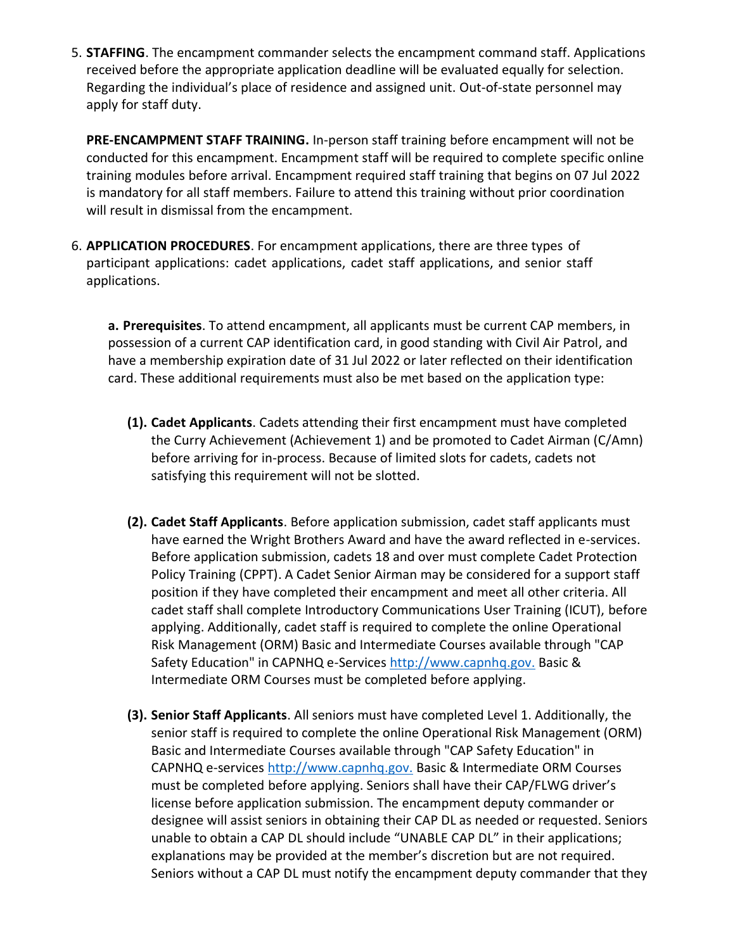5. **STAFFING**. The encampment commander selects the encampment command staff. Applications received before the appropriate application deadline will be evaluated equally for selection. Regarding the individual's place of residence and assigned unit. Out-of-state personnel may apply for staff duty.

**PRE-ENCAMPMENT STAFF TRAINING.** In-person staff training before encampment will not be conducted for this encampment. Encampment staff will be required to complete specific online training modules before arrival. Encampment required staff training that begins on 07 Jul 2022 is mandatory for all staff members. Failure to attend this training without prior coordination will result in dismissal from the encampment.

6. **APPLICATION PROCEDURES**. For encampment applications, there are three types of participant applications: cadet applications, cadet staff applications, and senior staff applications.

**a. Prerequisites**. To attend encampment, all applicants must be current CAP members, in possession of a current CAP identification card, in good standing with Civil Air Patrol, and have a membership expiration date of 31 Jul 2022 or later reflected on their identification card. These additional requirements must also be met based on the application type:

- **(1). Cadet Applicants**. Cadets attending their first encampment must have completed the Curry Achievement (Achievement 1) and be promoted to Cadet Airman (C/Amn) before arriving for in-process. Because of limited slots for cadets, cadets not satisfying this requirement will not be slotted.
- **(2). Cadet Staff Applicants**. Before application submission, cadet staff applicants must have earned the Wright Brothers Award and have the award reflected in e-services. Before application submission, cadets 18 and over must complete Cadet Protection Policy Training (CPPT). A Cadet Senior Airman may be considered for a support staff position if they have completed their encampment and meet all other criteria. All cadet staff shall complete Introductory Communications User Training (ICUT), before applying. Additionally, cadet staff is required to complete the online Operational Risk Management (ORM) Basic and Intermediate Courses available through "CAP Safety Education" in CAPNHQ e-Service[s http://www.capnhq.gov.](http://www.capnhq.gov/) Basic & Intermediate ORM Courses must be completed before applying.
- **(3). Senior Staff Applicants**. All seniors must have completed Level 1. Additionally, the senior staff is required to complete the online Operational Risk Management (ORM) Basic and Intermediate Courses available through "CAP Safety Education" in CAPNHQ e-service[s http://www.capnhq.gov.](http://www.capnhq.gov/) Basic & Intermediate ORM Courses must be completed before applying. Seniors shall have their CAP/FLWG driver's license before application submission. The encampment deputy commander or designee will assist seniors in obtaining their CAP DL as needed or requested. Seniors unable to obtain a CAP DL should include "UNABLE CAP DL" in their applications; explanations may be provided at the member's discretion but are not required. Seniors without a CAP DL must notify the encampment deputy commander that they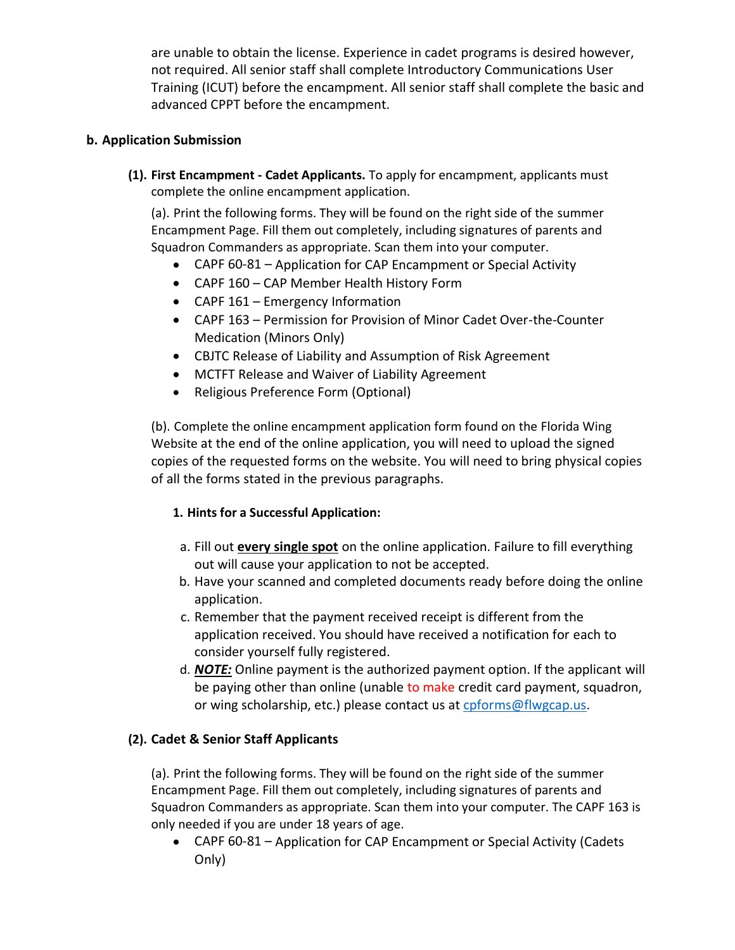are unable to obtain the license. Experience in cadet programs is desired however, not required. All senior staff shall complete Introductory Communications User Training (ICUT) before the encampment. All senior staff shall complete the basic and advanced CPPT before the encampment.

## **b. Application Submission**

**(1). First Encampment - Cadet Applicants.** To apply for encampment, applicants must complete the online encampment application.

(a). Print the following forms. They will be found on the right side of the summer Encampment Page. Fill them out completely, including signatures of parents and Squadron Commanders as appropriate. Scan them into your computer.

- CAPF 60-81 Application for CAP Encampment or Special Activity
- CAPF 160 CAP Member Health History Form
- CAPF 161 Emergency Information
- CAPF 163 Permission for Provision of Minor Cadet Over-the-Counter Medication (Minors Only)
- CBJTC Release of Liability and Assumption of Risk Agreement
- MCTFT Release and Waiver of Liability Agreement
- Religious Preference Form (Optional)

(b). Complete the online encampment application form found on the Florida Wing Website at the end of the online application, you will need to upload the signed copies of the requested forms on the website. You will need to bring physical copies of all the forms stated in the previous paragraphs.

## **1. Hints for a Successful Application:**

- a. Fill out **every single spot** on the online application. Failure to fill everything out will cause your application to not be accepted.
- b. Have your scanned and completed documents ready before doing the online application.
- c. Remember that the payment received receipt is different from the application received. You should have received a notification for each to consider yourself fully registered.
- d. *NOTE:* Online payment is the authorized payment option. If the applicant will be paying other than online (unable to make credit card payment, squadron, or wing scholarship, etc.) please contact us at [cpforms@flwgcap.us.](file:///C:/Users/Luis/AppData/Local/Microsoft/Windows/INetCache/Content.Outlook/H0CF1VXS/cpforms@flwgcap.us)

## **(2). Cadet & Senior Staff Applicants**

(a). Print the following forms. They will be found on the right side of the summer Encampment Page. Fill them out completely, including signatures of parents and Squadron Commanders as appropriate. Scan them into your computer. The CAPF 163 is only needed if you are under 18 years of age.

• CAPF 60-81 – Application for CAP Encampment or Special Activity (Cadets Only)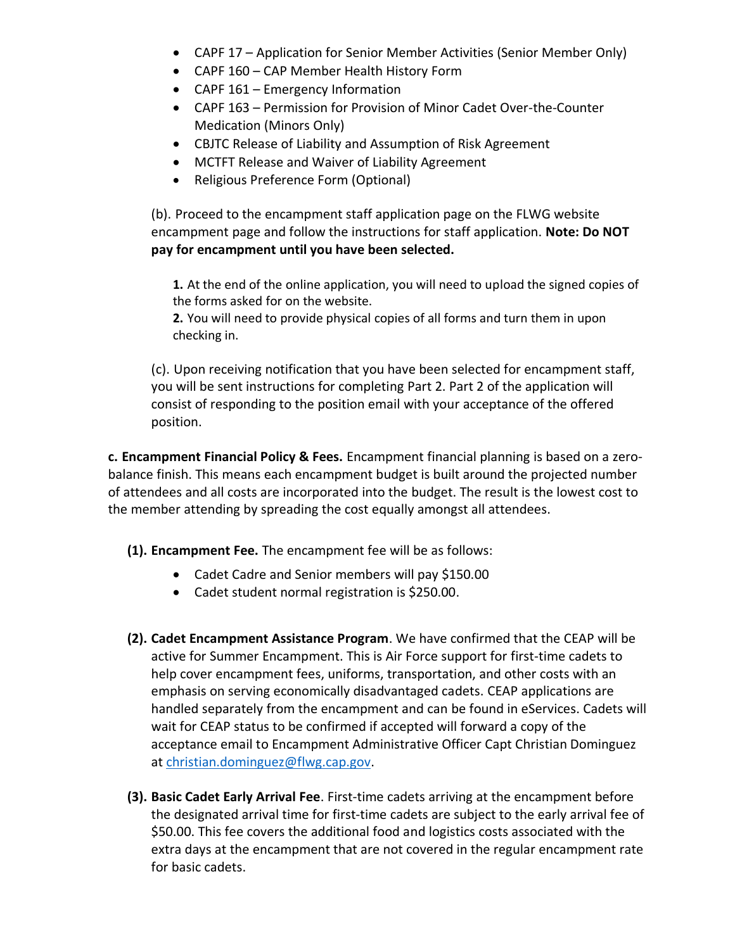- CAPF 17 Application for Senior Member Activities (Senior Member Only)
- CAPF 160 CAP Member Health History Form
- CAPF 161 Emergency Information
- CAPF 163 Permission for Provision of Minor Cadet Over-the-Counter Medication (Minors Only)
- CBJTC Release of Liability and Assumption of Risk Agreement
- MCTFT Release and Waiver of Liability Agreement
- Religious Preference Form (Optional)

(b). Proceed to the encampment staff application page on the FLWG website encampment page and follow the instructions for staff application. **Note: Do NOT pay for encampment until you have been selected.**

**1.** At the end of the online application, you will need to upload the signed copies of the forms asked for on the website.

**2.** You will need to provide physical copies of all forms and turn them in upon checking in.

(c). Upon receiving notification that you have been selected for encampment staff, you will be sent instructions for completing Part 2. Part 2 of the application will consist of responding to the position email with your acceptance of the offered position.

**c. Encampment Financial Policy & Fees.** Encampment financial planning is based on a zerobalance finish. This means each encampment budget is built around the projected number of attendees and all costs are incorporated into the budget. The result is the lowest cost to the member attending by spreading the cost equally amongst all attendees.

**(1). Encampment Fee.** The encampment fee will be as follows:

- Cadet Cadre and Senior members will pay \$150.00
- Cadet student normal registration is \$250.00.
- **(2). Cadet Encampment Assistance Program**. We have confirmed that the CEAP will be active for Summer Encampment. This is Air Force support for first-time cadets to help cover encampment fees, uniforms, transportation, and other costs with an emphasis on serving economically disadvantaged cadets. CEAP applications are handled separately from the encampment and can be found in eServices. Cadets will wait for CEAP status to be confirmed if accepted will forward a copy of the acceptance email to Encampment Administrative Officer Capt Christian Dominguez at [christian.dominguez@flwg.cap.gov.](mailto:christian.dominguez@flwg.cap.gov)
- **(3). Basic Cadet Early Arrival Fee**. First-time cadets arriving at the encampment before the designated arrival time for first-time cadets are subject to the early arrival fee of \$50.00. This fee covers the additional food and logistics costs associated with the extra days at the encampment that are not covered in the regular encampment rate for basic cadets.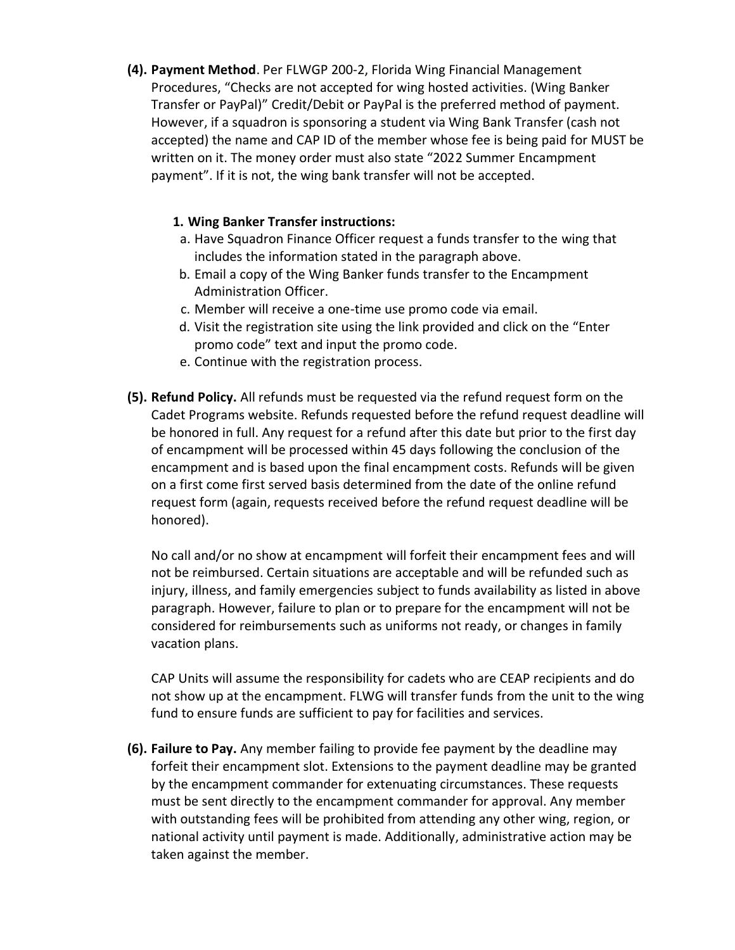**(4). Payment Method**. Per FLWGP 200-2, Florida Wing Financial Management Procedures, "Checks are not accepted for wing hosted activities. (Wing Banker Transfer or PayPal)" Credit/Debit or PayPal is the preferred method of payment. However, if a squadron is sponsoring a student via Wing Bank Transfer (cash not accepted) the name and CAP ID of the member whose fee is being paid for MUST be written on it. The money order must also state "2022 Summer Encampment payment". If it is not, the wing bank transfer will not be accepted.

## **1. Wing Banker Transfer instructions:**

- a. Have Squadron Finance Officer request a funds transfer to the wing that includes the information stated in the paragraph above.
- b. Email a copy of the Wing Banker funds transfer to the Encampment Administration Officer.
- c. Member will receive a one-time use promo code via email.
- d. Visit the registration site using the link provided and click on the "Enter promo code" text and input the promo code.
- e. Continue with the registration process.
- **(5). Refund Policy.** All refunds must be requested via the refund request form on the Cadet Programs website. Refunds requested before the refund request deadline will be honored in full. Any request for a refund after this date but prior to the first day of encampment will be processed within 45 days following the conclusion of the encampment and is based upon the final encampment costs. Refunds will be given on a first come first served basis determined from the date of the online refund request form (again, requests received before the refund request deadline will be honored).

No call and/or no show at encampment will forfeit their encampment fees and will not be reimbursed. Certain situations are acceptable and will be refunded such as injury, illness, and family emergencies subject to funds availability as listed in above paragraph. However, failure to plan or to prepare for the encampment will not be considered for reimbursements such as uniforms not ready, or changes in family vacation plans.

CAP Units will assume the responsibility for cadets who are CEAP recipients and do not show up at the encampment. FLWG will transfer funds from the unit to the wing fund to ensure funds are sufficient to pay for facilities and services.

**(6). Failure to Pay.** Any member failing to provide fee payment by the deadline may forfeit their encampment slot. Extensions to the payment deadline may be granted by the encampment commander for extenuating circumstances. These requests must be sent directly to the encampment commander for approval. Any member with outstanding fees will be prohibited from attending any other wing, region, or national activity until payment is made. Additionally, administrative action may be taken against the member.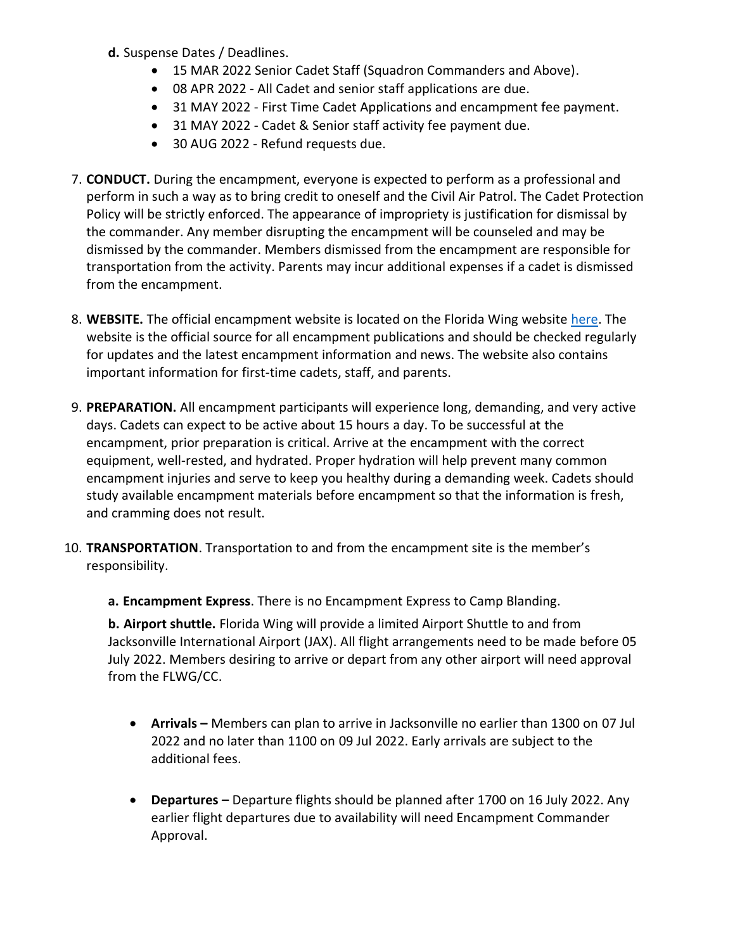- **d.** Suspense Dates / Deadlines.
	- 15 MAR 2022 Senior Cadet Staff (Squadron Commanders and Above).
	- 08 APR 2022 All Cadet and senior staff applications are due.
	- 31 MAY 2022 First Time Cadet Applications and encampment fee payment.
	- 31 MAY 2022 Cadet & Senior staff activity fee payment due.
	- 30 AUG 2022 Refund requests due.
- 7. **CONDUCT.** During the encampment, everyone is expected to perform as a professional and perform in such a way as to bring credit to oneself and the Civil Air Patrol. The Cadet Protection Policy will be strictly enforced. The appearance of impropriety is justification for dismissal by the commander. Any member disrupting the encampment will be counseled and may be dismissed by the commander. Members dismissed from the encampment are responsible for transportation from the activity. Parents may incur additional expenses if a cadet is dismissed from the encampment.
- 8. **WEBSITE.** The official encampment website is located on the Florida Wing website [here.](https://flwg.cap.gov/programs/cadet-programs/flwg-summer-encampment) The website is the official source for all encampment publications and should be checked regularly for updates and the latest encampment information and news. The website also contains important information for first-time cadets, staff, and parents.
- 9. **PREPARATION.** All encampment participants will experience long, demanding, and very active days. Cadets can expect to be active about 15 hours a day. To be successful at the encampment, prior preparation is critical. Arrive at the encampment with the correct equipment, well-rested, and hydrated. Proper hydration will help prevent many common encampment injuries and serve to keep you healthy during a demanding week. Cadets should study available encampment materials before encampment so that the information is fresh, and cramming does not result.
- 10. **TRANSPORTATION**. Transportation to and from the encampment site is the member's responsibility.
	- **a. Encampment Express**. There is no Encampment Express to Camp Blanding.

**b. Airport shuttle.** Florida Wing will provide a limited Airport Shuttle to and from Jacksonville International Airport (JAX). All flight arrangements need to be made before 05 July 2022. Members desiring to arrive or depart from any other airport will need approval from the FLWG/CC.

- Arrivals Members can plan to arrive in Jacksonville no earlier than 1300 on 07 Jul 2022 and no later than 1100 on 09 Jul 2022. Early arrivals are subject to the additional fees.
- **Departures –** Departure flights should be planned after 1700 on 16 July 2022. Any earlier flight departures due to availability will need Encampment Commander Approval.